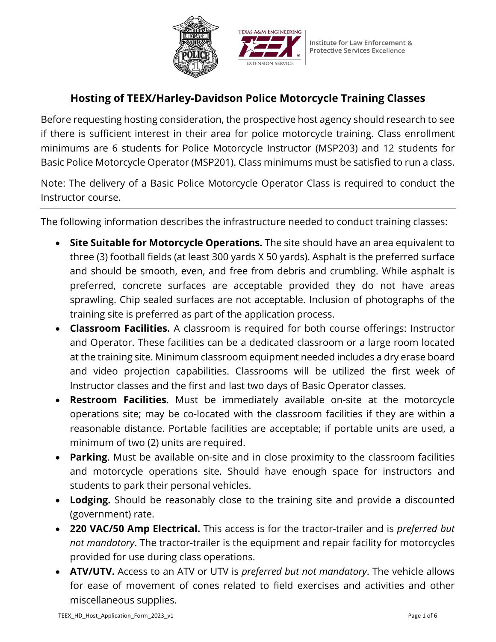



# **Hosting of TEEX/Harley-Davidson Police Motorcycle Training Classes**

 Basic Police Motorcycle Operator (MSP201). Class minimums must be satisfied to run a class. Before requesting hosting consideration, the prospective host agency should research to see if there is sufficient interest in their area for police motorcycle training. Class enrollment minimums are 6 students for Police Motorcycle Instructor (MSP203) and 12 students for

Note: The delivery of a Basic Police Motorcycle Operator Class is required to conduct the Instructor course.

The following information describes the infrastructure needed to conduct training classes:

- and should be smooth, even, and free from debris and crumbling. While asphalt is • **Site Suitable for Motorcycle Operations.** The site should have an area equivalent to three (3) football fields (at least 300 yards X 50 yards). Asphalt is the preferred surface preferred, concrete surfaces are acceptable provided they do not have areas sprawling. Chip sealed surfaces are not acceptable. Inclusion of photographs of the training site is preferred as part of the application process.
- **Classroom Facilities.** A classroom is required for both course offerings: Instructor and Operator. These facilities can be a dedicated classroom or a large room located at the training site. Minimum classroom equipment needed includes a dry erase board and video projection capabilities. Classrooms will be utilized the first week of Instructor classes and the first and last two days of Basic Operator classes.
- **Restroom Facilities**. Must be immediately available on-site at the motorcycle operations site; may be co-located with the classroom facilities if they are within a reasonable distance. Portable facilities are acceptable; if portable units are used, a minimum of two (2) units are required.
- **Parking**. Must be available on-site and in close proximity to the classroom facilities and motorcycle operations site. Should have enough space for instructors and students to park their personal vehicles.
- **Lodging.** Should be reasonably close to the training site and provide a discounted (government) rate.
- **220 VAC/50 Amp Electrical.** This access is for the tractor-trailer and is *preferred but not mandatory*. The tractor-trailer is the equipment and repair facility for motorcycles provided for use during class operations.
- **ATV/UTV.** Access to an ATV or UTV is *preferred but not mandatory*. The vehicle allows for ease of movement of cones related to field exercises and activities and other miscellaneous supplies.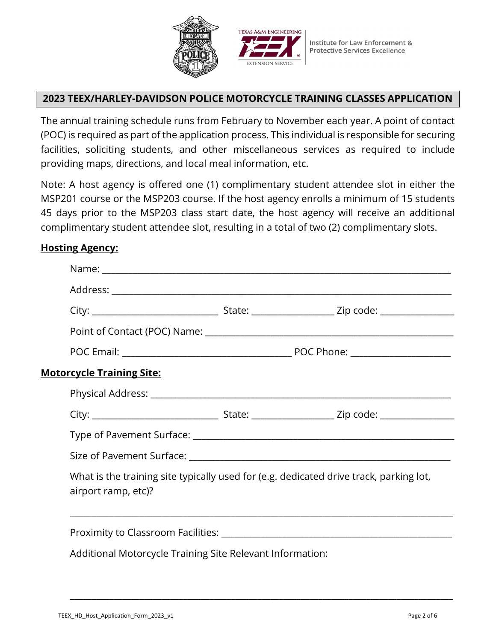



### **2023 TEEX/HARLEY-DAVIDSON POLICE MOTORCYCLE TRAINING CLASSES APPLICATION**

 (POC) is required as part of the application process. This individual is responsible for securing The annual training schedule runs from February to November each year. A point of contact facilities, soliciting students, and other miscellaneous services as required to include providing maps, directions, and local meal information, etc.

Note: A host agency is offered one (1) complimentary student attendee slot in either the MSP201 course or the MSP203 course. If the host agency enrolls a minimum of 15 students 45 days prior to the MSP203 class start date, the host agency will receive an additional complimentary student attendee slot, resulting in a total of two (2) complimentary slots.

#### **Hosting Agency:**

| <b>Motorcycle Training Site:</b>                          |                                                                                        |
|-----------------------------------------------------------|----------------------------------------------------------------------------------------|
|                                                           |                                                                                        |
|                                                           |                                                                                        |
|                                                           |                                                                                        |
|                                                           |                                                                                        |
| airport ramp, etc)?                                       | What is the training site typically used for (e.g. dedicated drive track, parking lot, |
|                                                           |                                                                                        |
| Additional Motorcycle Training Site Relevant Information: |                                                                                        |

\_\_\_\_\_\_\_\_\_\_\_\_\_\_\_\_\_\_\_\_\_\_\_\_\_\_\_\_\_\_\_\_\_\_\_\_\_\_\_\_\_\_\_\_\_\_\_\_\_\_\_\_\_\_\_\_\_\_\_\_\_\_\_\_\_\_\_\_\_\_\_\_\_\_\_\_\_\_\_\_\_\_\_\_\_\_\_\_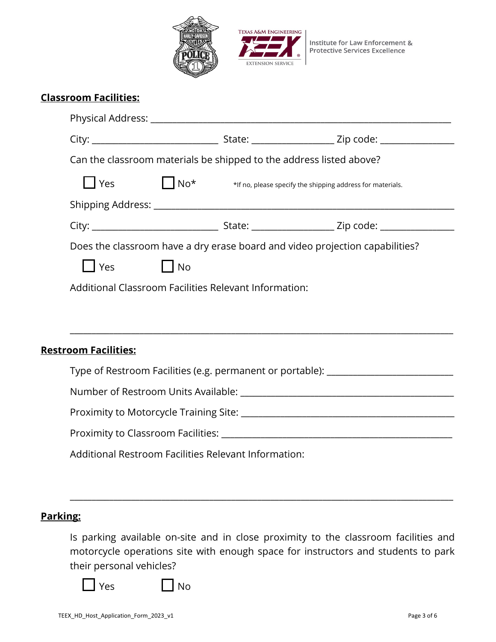



|                                                                              | Can the classroom materials be shipped to the address listed above? |                                                                                  |
|------------------------------------------------------------------------------|---------------------------------------------------------------------|----------------------------------------------------------------------------------|
| $\vert$   Yes                                                                | $\Box$ No <sup>*</sup>                                              | *If no, please specify the shipping address for materials.                       |
|                                                                              |                                                                     |                                                                                  |
|                                                                              |                                                                     |                                                                                  |
|                                                                              |                                                                     |                                                                                  |
| Does the classroom have a dry erase board and video projection capabilities? |                                                                     |                                                                                  |
| T Yes                                                                        | No<br>Additional Classroom Facilities Relevant Information:         |                                                                                  |
| <b>Restroom Facilities:</b>                                                  |                                                                     |                                                                                  |
|                                                                              |                                                                     | Type of Restroom Facilities (e.g. permanent or portable): ______________________ |
|                                                                              |                                                                     |                                                                                  |
|                                                                              |                                                                     |                                                                                  |
|                                                                              |                                                                     |                                                                                  |

### **Parking:**

 motorcycle operations site with enough space for instructors and students to park Is parking available on-site and in close proximity to the classroom facilities and their personal vehicles?

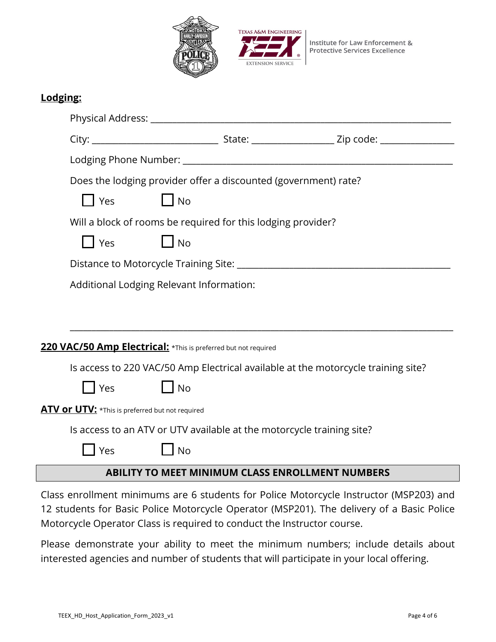



| Lodging:                                                              |                                                                                   |           |  |                                                         |  |  |
|-----------------------------------------------------------------------|-----------------------------------------------------------------------------------|-----------|--|---------------------------------------------------------|--|--|
|                                                                       |                                                                                   |           |  |                                                         |  |  |
|                                                                       |                                                                                   |           |  |                                                         |  |  |
|                                                                       |                                                                                   |           |  |                                                         |  |  |
|                                                                       | Does the lodging provider offer a discounted (government) rate?                   |           |  |                                                         |  |  |
|                                                                       | l Yes                                                                             | <b>No</b> |  |                                                         |  |  |
|                                                                       | Will a block of rooms be required for this lodging provider?                      |           |  |                                                         |  |  |
|                                                                       | Yes                                                                               | <b>No</b> |  |                                                         |  |  |
|                                                                       |                                                                                   |           |  |                                                         |  |  |
|                                                                       | Additional Lodging Relevant Information:                                          |           |  |                                                         |  |  |
|                                                                       |                                                                                   |           |  |                                                         |  |  |
|                                                                       |                                                                                   |           |  |                                                         |  |  |
| 220 VAC/50 Amp Electrical: *This is preferred but not required        |                                                                                   |           |  |                                                         |  |  |
|                                                                       | Is access to 220 VAC/50 Amp Electrical available at the motorcycle training site? |           |  |                                                         |  |  |
|                                                                       | Yes                                                                               | <b>No</b> |  |                                                         |  |  |
|                                                                       | ATV or UTV: *This is preferred but not required                                   |           |  |                                                         |  |  |
| Is access to an ATV or UTV available at the motorcycle training site? |                                                                                   |           |  |                                                         |  |  |
|                                                                       | Yes                                                                               | <b>No</b> |  |                                                         |  |  |
|                                                                       |                                                                                   |           |  | <b>ABILITY TO MEET MINIMUM CLASS ENROLLMENT NUMBERS</b> |  |  |

 12 students for Basic Police Motorcycle Operator (MSP201). The delivery of a Basic Police Motorcycle Operator Class is required to conduct the Instructor course. Class enrollment minimums are 6 students for Police Motorcycle Instructor (MSP203) and

Motorcycle Operator Class is required to conduct the Instructor course.<br>Please demonstrate your ability to meet the minimum numbers; include details about interested agencies and number of students that will participate in your local offering.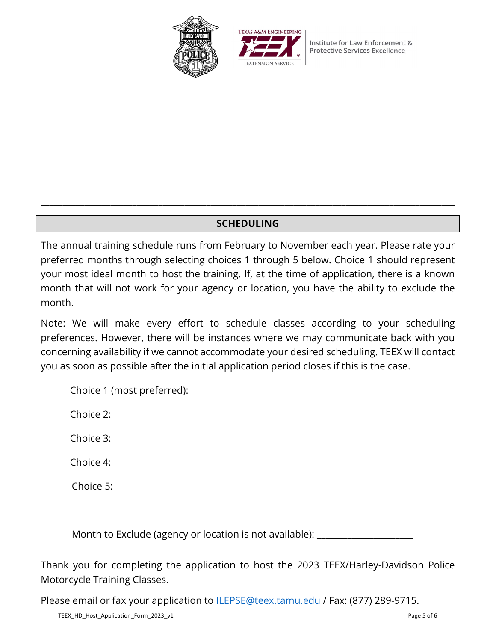



Institute for Law Enforcement & **Protective Services Excellence** 

## **SCHEDULING**

\_\_\_\_\_\_\_\_\_\_\_\_\_\_\_\_\_\_\_\_\_\_\_\_\_\_\_\_\_\_\_\_\_\_\_\_\_\_\_\_\_\_\_\_\_\_\_\_\_\_\_\_\_\_\_\_\_\_\_\_\_\_\_\_\_\_\_\_\_\_\_\_\_\_\_\_\_\_\_\_\_\_\_\_\_\_\_\_\_\_\_\_\_\_\_

 The annual training schedule runs from February to November each year. Please rate your month that will not work for your agency or location, you have the ability to exclude the preferred months through selecting choices 1 through 5 below. Choice 1 should represent your most ideal month to host the training. If, at the time of application, there is a known month.

Note: We will make every effort to schedule classes according to your scheduling preferences. However, there will be instances where we may communicate back with you concerning availability if we cannot accommodate your desired scheduling. TEEX will contact you as soon as possible after the initial application period closes if this is the case.

|  | Choice 1 (most preferred): |  |
|--|----------------------------|--|
|--|----------------------------|--|

| Choice 2: |  |
|-----------|--|
|-----------|--|

Choice  $4$ :

Choice 5:

Month to Exclude (agency or location is not available): \_\_\_\_\_\_\_\_\_\_\_\_\_\_\_\_\_\_\_\_\_\_\_\_

Motorcycle Training Classes. Thank you for completing the application to host the 2023 TEEX/Harley-Davidson Police

Please email or fax your application to **ILEPSE@teex.tamu.edu / Fax: (877) 289-9715.**